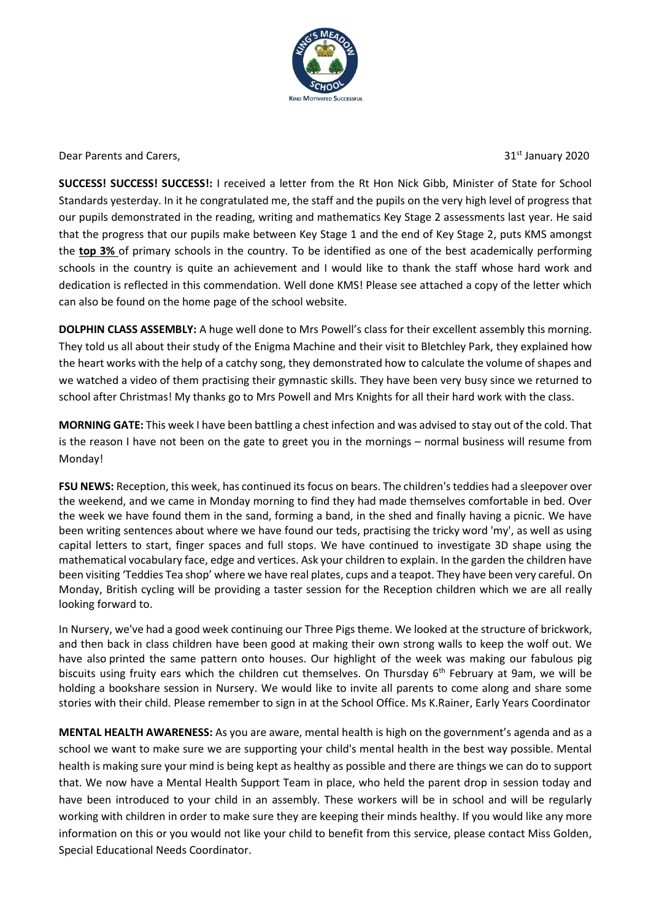

Dear Parents and Carers, The Carecter of the Carecter of the Carecter of the State of the State of the State of the State of the State of the State of the State of the State of the State of the State of the State of the St

**SUCCESS! SUCCESS! SUCCESS!:** I received a letter from the Rt Hon Nick Gibb, Minister of State for School Standards yesterday. In it he congratulated me, the staff and the pupils on the very high level of progress that our pupils demonstrated in the reading, writing and mathematics Key Stage 2 assessments last year. He said that the progress that our pupils make between Key Stage 1 and the end of Key Stage 2, puts KMS amongst the **top 3%** of primary schools in the country. To be identified as one of the best academically performing schools in the country is quite an achievement and I would like to thank the staff whose hard work and dedication is reflected in this commendation. Well done KMS! Please see attached a copy of the letter which can also be found on the home page of the school website.

**DOLPHIN CLASS ASSEMBLY:** A huge well done to Mrs Powell's class for their excellent assembly this morning. They told us all about their study of the Enigma Machine and their visit to Bletchley Park, they explained how the heart works with the help of a catchy song, they demonstrated how to calculate the volume of shapes and we watched a video of them practising their gymnastic skills. They have been very busy since we returned to school after Christmas! My thanks go to Mrs Powell and Mrs Knights for all their hard work with the class.

**MORNING GATE:** This week I have been battling a chest infection and was advised to stay out of the cold. That is the reason I have not been on the gate to greet you in the mornings – normal business will resume from Monday!

**FSU NEWS:** Reception, this week, has continued its focus on bears. The children's teddies had a sleepover over the weekend, and we came in Monday morning to find they had made themselves comfortable in bed. Over the week we have found them in the sand, forming a band, in the shed and finally having a picnic. We have been writing sentences about where we have found our teds, practising the tricky word 'my', as well as using capital letters to start, finger spaces and full stops. We have continued to investigate 3D shape using the mathematical vocabulary face, edge and vertices. Ask your children to explain. In the garden the children have been visiting 'Teddies Tea shop' where we have real plates, cups and a teapot. They have been very careful. On Monday, British cycling will be providing a taster session for the Reception children which we are all really looking forward to.

In Nursery, we've had a good week continuing our Three Pigs theme. We looked at the structure of brickwork, and then back in class children have been good at making their own strong walls to keep the wolf out. We have also printed the same pattern onto houses. Our highlight of the week was making our fabulous pig biscuits using fruity ears which the children cut themselves. On Thursday 6<sup>th</sup> February at 9am, we will be holding a bookshare session in Nursery. We would like to invite all parents to come along and share some stories with their child. Please remember to sign in at the School Office. Ms K.Rainer, Early Years Coordinator

**MENTAL HEALTH AWARENESS:** As you are aware, mental health is high on the government's agenda and as a school we want to make sure we are supporting your child's mental health in the best way possible. Mental health is making sure your mind is being kept as healthy as possible and there are things we can do to support that. We now have a Mental Health Support Team in place, who held the parent drop in session today and have been introduced to your child in an assembly. These workers will be in school and will be regularly working with children in order to make sure they are keeping their minds healthy. If you would like any more information on this or you would not like your child to benefit from this service, please contact Miss Golden, Special Educational Needs Coordinator.